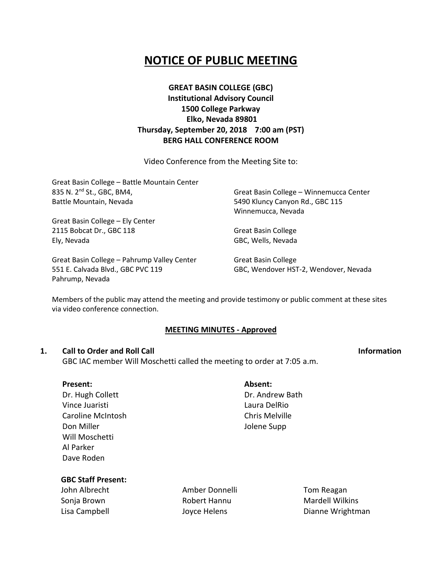# **NOTICE OF PUBLIC MEETING**

## **GREAT BASIN COLLEGE (GBC) Institutional Advisory Council 1500 College Parkway Elko, Nevada 89801 Thursday, September 20, 2018 7:00 am (PST) BERG HALL CONFERENCE ROOM**

Video Conference from the Meeting Site to:

Great Basin College – Battle Mountain Center 835 N. 2nd St., GBC, BM4, Battle Mountain, Nevada

Great Basin College – Ely Center 2115 Bobcat Dr., GBC 118 Ely, Nevada

Great Basin College – Pahrump Valley Center 551 E. Calvada Blvd., GBC PVC 119 Pahrump, Nevada

Great Basin College – Winnemucca Center 5490 Kluncy Canyon Rd., GBC 115 Winnemucca, Nevada

Great Basin College GBC, Wells, Nevada

Great Basin College GBC, Wendover HST-2, Wendover, Nevada

Members of the public may attend the meeting and provide testimony or public comment at these sites via video conference connection.

### **MEETING MINUTES - Approved**

### **1. Call to Order and Roll Call Information**

GBC IAC member Will Moschetti called the meeting to order at 7:05 a.m.

| Present:                 | Absent:         |
|--------------------------|-----------------|
| Dr. Hugh Collett         | Dr. Andrew Bath |
| Vince Juaristi           | Laura DelRio    |
| <b>Caroline McIntosh</b> | Chris Melville  |
| Don Miller               | Jolene Supp     |
| Will Moschetti           |                 |
| Al Parker                |                 |
| Dave Roden               |                 |

### **GBC Staff Present:**

John Albrecht Sonja Brown Lisa Campbell

Amber Donnelli Robert Hannu Joyce Helens

Tom Reagan Mardell Wilkins Dianne Wrightman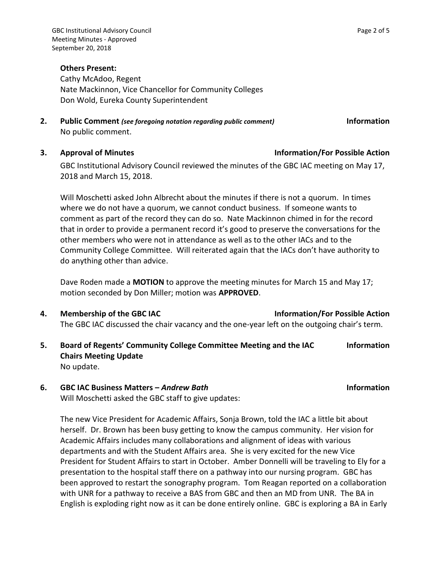### **Others Present:**

Cathy McAdoo, Regent Nate Mackinnon, Vice Chancellor for Community Colleges Don Wold, Eureka County Superintendent

**2. Public Comment** *(see foregoing notation regarding public comment)* **Information** No public comment.

### **3. Approval of Minutes Information/For Possible Action**

GBC Institutional Advisory Council reviewed the minutes of the GBC IAC meeting on May 17, 2018 and March 15, 2018.

Will Moschetti asked John Albrecht about the minutes if there is not a quorum. In times where we do not have a quorum, we cannot conduct business. If someone wants to comment as part of the record they can do so. Nate Mackinnon chimed in for the record that in order to provide a permanent record it's good to preserve the conversations for the other members who were not in attendance as well as to the other IACs and to the Community College Committee. Will reiterated again that the IACs don't have authority to do anything other than advice.

Dave Roden made a **MOTION** to approve the meeting minutes for March 15 and May 17; motion seconded by Don Miller; motion was **APPROVED**.

- **4. Membership of the GBC IAC Information/For Possible Action** The GBC IAC discussed the chair vacancy and the one-year left on the outgoing chair's term.
- **5. Board of Regents' Community College Committee Meeting and the IAC Chairs Meeting Update Information**  No update.
- **6. GBC IAC Business Matters –** *Andrew Bath* **Information** Will Moschetti asked the GBC staff to give updates:

The new Vice President for Academic Affairs, Sonja Brown, told the IAC a little bit about herself. Dr. Brown has been busy getting to know the campus community. Her vision for Academic Affairs includes many collaborations and alignment of ideas with various departments and with the Student Affairs area. She is very excited for the new Vice President for Student Affairs to start in October. Amber Donnelli will be traveling to Ely for a presentation to the hospital staff there on a pathway into our nursing program. GBC has been approved to restart the sonography program. Tom Reagan reported on a collaboration with UNR for a pathway to receive a BAS from GBC and then an MD from UNR. The BA in English is exploding right now as it can be done entirely online. GBC is exploring a BA in Early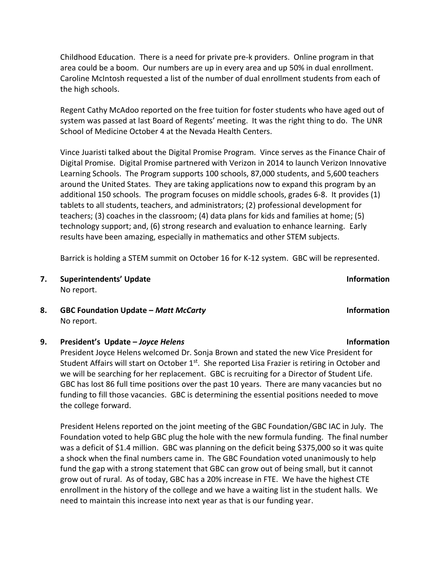Childhood Education. There is a need for private pre-k providers. Online program in that area could be a boom. Our numbers are up in every area and up 50% in dual enrollment. Caroline McIntosh requested a list of the number of dual enrollment students from each of the high schools.

Regent Cathy McAdoo reported on the free tuition for foster students who have aged out of system was passed at last Board of Regents' meeting. It was the right thing to do. The UNR School of Medicine October 4 at the Nevada Health Centers.

Vince Juaristi talked about the Digital Promise Program. Vince serves as the Finance Chair of Digital Promise. Digital Promise partnered with Verizon in 2014 to launch Verizon Innovative Learning Schools. The Program supports 100 schools, 87,000 students, and 5,600 teachers around the United States. They are taking applications now to expand this program by an additional 150 schools. The program focuses on middle schools, grades 6-8. It provides (1) tablets to all students, teachers, and administrators; (2) professional development for teachers; (3) coaches in the classroom; (4) data plans for kids and families at home; (5) technology support; and, (6) strong research and evaluation to enhance learning. Early results have been amazing, especially in mathematics and other STEM subjects.

Barrick is holding a STEM summit on October 16 for K-12 system. GBC will be represented.

- **7. Superintendents' Update Information** No report.
- **8. GBC Foundation Update –** *Matt McCarty* **Information** No report.

**9. President's Update –** *Joyce Helens* **Information**

President Joyce Helens welcomed Dr. Sonja Brown and stated the new Vice President for Student Affairs will start on October  $1<sup>st</sup>$ . She reported Lisa Frazier is retiring in October and we will be searching for her replacement. GBC is recruiting for a Director of Student Life. GBC has lost 86 full time positions over the past 10 years. There are many vacancies but no funding to fill those vacancies. GBC is determining the essential positions needed to move the college forward.

President Helens reported on the joint meeting of the GBC Foundation/GBC IAC in July. The Foundation voted to help GBC plug the hole with the new formula funding. The final number was a deficit of \$1.4 million. GBC was planning on the deficit being \$375,000 so it was quite a shock when the final numbers came in. The GBC Foundation voted unanimously to help fund the gap with a strong statement that GBC can grow out of being small, but it cannot grow out of rural. As of today, GBC has a 20% increase in FTE. We have the highest CTE enrollment in the history of the college and we have a waiting list in the student halls. We need to maintain this increase into next year as that is our funding year.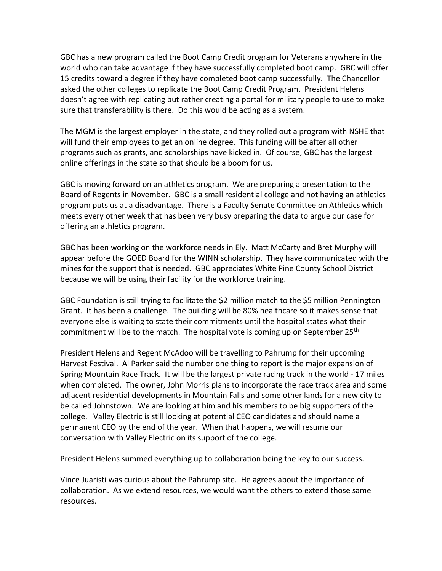GBC has a new program called the Boot Camp Credit program for Veterans anywhere in the world who can take advantage if they have successfully completed boot camp. GBC will offer 15 credits toward a degree if they have completed boot camp successfully. The Chancellor asked the other colleges to replicate the Boot Camp Credit Program. President Helens doesn't agree with replicating but rather creating a portal for military people to use to make sure that transferability is there. Do this would be acting as a system.

The MGM is the largest employer in the state, and they rolled out a program with NSHE that will fund their employees to get an online degree. This funding will be after all other programs such as grants, and scholarships have kicked in. Of course, GBC has the largest online offerings in the state so that should be a boom for us.

GBC is moving forward on an athletics program. We are preparing a presentation to the Board of Regents in November. GBC is a small residential college and not having an athletics program puts us at a disadvantage. There is a Faculty Senate Committee on Athletics which meets every other week that has been very busy preparing the data to argue our case for offering an athletics program.

GBC has been working on the workforce needs in Ely. Matt McCarty and Bret Murphy will appear before the GOED Board for the WINN scholarship. They have communicated with the mines for the support that is needed. GBC appreciates White Pine County School District because we will be using their facility for the workforce training.

GBC Foundation is still trying to facilitate the \$2 million match to the \$5 million Pennington Grant. It has been a challenge. The building will be 80% healthcare so it makes sense that everyone else is waiting to state their commitments until the hospital states what their commitment will be to the match. The hospital vote is coming up on September 25<sup>th</sup>

President Helens and Regent McAdoo will be travelling to Pahrump for their upcoming Harvest Festival. Al Parker said the number one thing to report is the major expansion of Spring Mountain Race Track. It will be the largest private racing track in the world - 17 miles when completed. The owner, John Morris plans to incorporate the race track area and some adjacent residential developments in Mountain Falls and some other lands for a new city to be called Johnstown. We are looking at him and his members to be big supporters of the college. Valley Electric is still looking at potential CEO candidates and should name a permanent CEO by the end of the year. When that happens, we will resume our conversation with Valley Electric on its support of the college.

President Helens summed everything up to collaboration being the key to our success.

Vince Juaristi was curious about the Pahrump site. He agrees about the importance of collaboration. As we extend resources, we would want the others to extend those same resources.